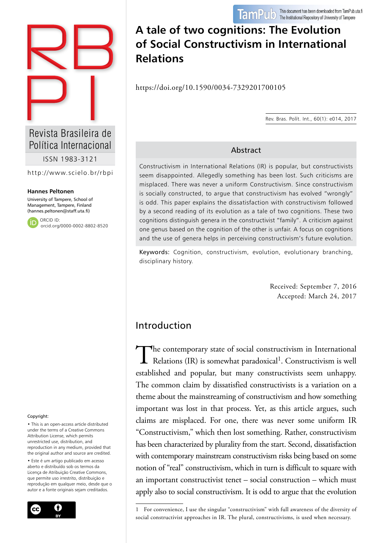

# **A tale of two cognitions: The Evolution of Social Constructivism in International Relations**

https://doi.org/10.1590/0034-7329201700105

Rev. Bras. Polít. Int., 60(1): e014, 2017

#### Abstract

Constructivism in International Relations (IR) is popular, but constructivists seem disappointed. Allegedly something has been lost. Such criticisms are misplaced. There was never a uniform Constructivism. Since constructivism is socially constructed, to argue that constructivism has evolved "wrongly" is odd. This paper explains the dissatisfaction with constructivism followed by a second reading of its evolution as a tale of two cognitions. These two cognitions distinguish genera in the constructivist "family". A criticism against one genus based on the cognition of the other is unfair. A focus on cognitions and the use of genera helps in perceiving constructivism's future evolution.

Keywords: Cognition, constructivism, evolution, evolutionary branching, disciplinary history.

> Received: September 7, 2016 Accepted: March 24, 2017

# Introduction

The contemporary state of social constructivism in International Relations (IR) is somewhat paradoxical<sup>1</sup>. Constructivism is well established and popular, but many constructivists seem unhappy. The common claim by dissatisfied constructivists is a variation on a theme about the mainstreaming of constructivism and how something important was lost in that process. Yet, as this article argues, such claims are misplaced. For one, there was never some uniform IR "Constructivism," which then lost something. Rather, constructivism has been characterized by plurality from the start. Second, dissatisfaction with contemporary mainstream constructivism risks being based on some notion of "real" constructivism, which in turn is difficult to square with an important constructivist tenet – social construction – which must apply also to social constructivism. It is odd to argue that the evolution

Revista Brasileira de Política Internacional

ISSN 1983-3121

http://www.scielo.br/rbpi

#### **Hannes Peltonen**

University of Tampere, School of Management, Tampere, Finland (hannes.peltonen@staff.uta.fi)

> ORCID ID: orcid.org/0000-0002-8802-8520

#### Copyright:

• This is an open-access article distributed under the terms of a Creative Commons Attribution License, which permits unrestricted use, distribution, and reproduction in any medium, provided that the original author and source are credited.

• Este é um artigo publicado em acesso aberto e distribuído sob os termos da Licença de Atribuição Creative Commons, que permite uso irrestrito, distribuição e reprodução em qualquer meio, desde que o autor e a fonte originais sejam creditados.



<sup>1</sup> For convenience, I use the singular "constructivism" with full awareness of the diversity of social constructivist approaches in IR. The plural, constructivisms, is used when necessary.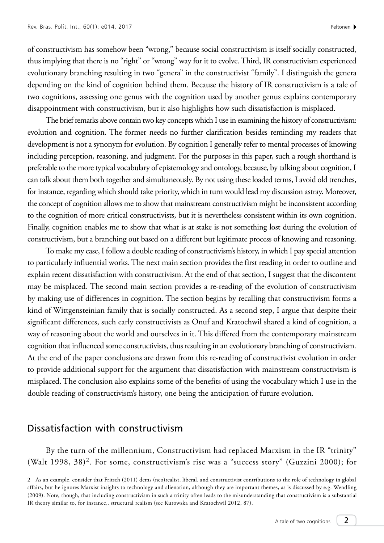of constructivism has somehow been "wrong," because social constructivism is itself socially constructed, thus implying that there is no "right" or "wrong" way for it to evolve. Third, IR constructivism experienced evolutionary branching resulting in two "genera" in the constructivist "family". I distinguish the genera depending on the kind of cognition behind them. Because the history of IR constructivism is a tale of two cognitions, assessing one genus with the cognition used by another genus explains contemporary disappointment with constructivism, but it also highlights how such dissatisfaction is misplaced.

The brief remarks above contain two key concepts which I use in examining the history of constructivism: evolution and cognition. The former needs no further clarification besides reminding my readers that development is not a synonym for evolution. By cognition I generally refer to mental processes of knowing including perception, reasoning, and judgment. For the purposes in this paper, such a rough shorthand is preferable to the more typical vocabulary of epistemology and ontology, because, by talking about cognition, I can talk about them both together and simultaneously. By not using these loaded terms, I avoid old trenches, for instance, regarding which should take priority, which in turn would lead my discussion astray. Moreover, the concept of cognition allows me to show that mainstream constructivism might be inconsistent according to the cognition of more critical constructivists, but it is nevertheless consistent within its own cognition. Finally, cognition enables me to show that what is at stake is not something lost during the evolution of constructivism, but a branching out based on a different but legitimate process of knowing and reasoning.

To make my case, I follow a double reading of constructivism's history, in which I pay special attention to particularly influential works. The next main section provides the first reading in order to outline and explain recent dissatisfaction with constructivism. At the end of that section, I suggest that the discontent may be misplaced. The second main section provides a re-reading of the evolution of constructivism by making use of differences in cognition. The section begins by recalling that constructivism forms a kind of Wittgensteinian family that is socially constructed. As a second step, I argue that despite their significant differences, such early constructivists as Onuf and Kratochwil shared a kind of cognition, a way of reasoning about the world and ourselves in it. This differed from the contemporary mainstream cognition that influenced some constructivists, thus resulting in an evolutionary branching of constructivism. At the end of the paper conclusions are drawn from this re-reading of constructivist evolution in order to provide additional support for the argument that dissatisfaction with mainstream constructivism is misplaced. The conclusion also explains some of the benefits of using the vocabulary which I use in the double reading of constructivism's history, one being the anticipation of future evolution.

## Dissatisfaction with constructivism

By the turn of the millennium, Constructivism had replaced Marxism in the IR "trinity" (Walt 1998, 38)<sup>2</sup>. For some, constructivism's rise was a "success story" (Guzzini 2000); for

<sup>2</sup> As an example, consider that Fritsch (2011) dems (neo)realist, liberal, and constructivist contributions to the role of technology in global affairs, but he ignores Marxist insights to technology and alienation, although they are important themes, as is discussed by e.g. Wendling (2009). Note, though, that including constructivism in such a trinity often leads to the misunderstanding that constructivism is a substantial IR theory similar to, for instance,. structural realism (see Kurowska and Kratochwil 2012, 87).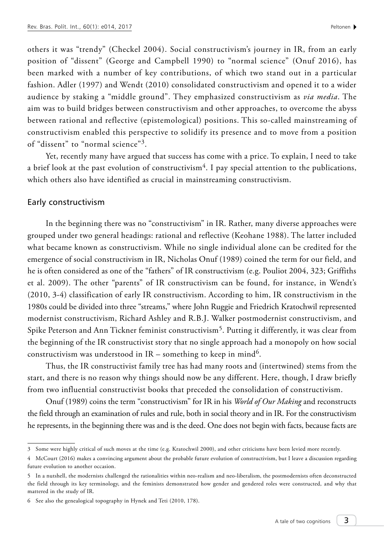others it was "trendy" (Checkel 2004). Social constructivism's journey in IR, from an early position of "dissent" (George and Campbell 1990) to "normal science" (Onuf 2016), has been marked with a number of key contributions, of which two stand out in a particular fashion. Adler (1997) and Wendt (2010) consolidated constructivism and opened it to a wider audience by staking a "middle ground". They emphasized constructivism as *via media*. The aim was to build bridges between constructivism and other approaches, to overcome the abyss between rational and reflective (epistemological) positions. This so-called mainstreaming of constructivism enabled this perspective to solidify its presence and to move from a position of "dissent" to "normal science"3.

Yet, recently many have argued that success has come with a price. To explain, I need to take a brief look at the past evolution of constructivism<sup>4</sup>. I pay special attention to the publications, which others also have identified as crucial in mainstreaming constructivism.

#### Early constructivism

In the beginning there was no "constructivism" in IR. Rather, many diverse approaches were grouped under two general headings: rational and reflective (Keohane 1988). The latter included what became known as constructivism. While no single individual alone can be credited for the emergence of social constructivism in IR, Nicholas Onuf (1989) coined the term for our field, and he is often considered as one of the "fathers" of IR constructivism (e.g. Pouliot 2004, 323; Griffiths et al. 2009). The other "parents" of IR constructivism can be found, for instance, in Wendt's (2010, 3-4) classification of early IR constructivism. According to him, IR constructivism in the 1980s could be divided into three "streams," where John Ruggie and Friedrich Kratochwil represented modernist constructivism, Richard Ashley and R.B.J. Walker postmodernist constructivism, and Spike Peterson and Ann Tickner feminist constructivism<sup>5</sup>. Putting it differently, it was clear from the beginning of the IR constructivist story that no single approach had a monopoly on how social constructivism was understood in  $IR$  – something to keep in mind<sup>6</sup>.

Thus, the IR constructivist family tree has had many roots and (intertwined) stems from the start, and there is no reason why things should now be any different. Here, though, I draw briefly from two influential constructivist books that preceded the consolidation of constructivism.

Onuf (1989) coins the term "constructivism" for IR in his *World of Our Making* and reconstructs the field through an examination of rules and rule, both in social theory and in IR. For the constructivism he represents, in the beginning there was and is the deed. One does not begin with facts, because facts are

<sup>3</sup> Some were highly critical of such moves at the time (e.g. Kratochwil 2000), and other criticisms have been levied more recently.

<sup>4</sup> McCourt (2016) makes a convincing argument about the probable future evolution of constructivism, but I leave a discussion regarding future evolution to another occasion.

<sup>5</sup> In a nutshell, the modernists challenged the rationalities within neo-realism and neo-liberalism, the postmodernists often deconstructed the field through its key terminology, and the feminists demonstrated how gender and gendered roles were constructed, and why that mattered in the study of IR.

<sup>6</sup> See also the genealogical topography in Hynek and Teti (2010, 178).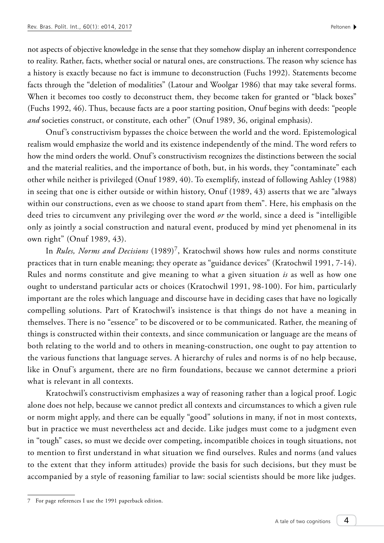not aspects of objective knowledge in the sense that they somehow display an inherent correspondence to reality. Rather, facts, whether social or natural ones, are constructions. The reason why science has a history is exactly because no fact is immune to deconstruction (Fuchs 1992). Statements become facts through the "deletion of modalities" (Latour and Woolgar 1986) that may take several forms. When it becomes too costly to deconstruct them, they become taken for granted or "black boxes" (Fuchs 1992, 46). Thus, because facts are a poor starting position, Onuf begins with deeds: "people *and* societies construct, or constitute, each other" (Onuf 1989, 36, original emphasis).

Onuf 's constructivism bypasses the choice between the world and the word. Epistemological realism would emphasize the world and its existence independently of the mind. The word refers to how the mind orders the world. Onuf's constructivism recognizes the distinctions between the social and the material realities, and the importance of both, but, in his words, they "contaminate" each other while neither is privileged (Onuf 1989, 40). To exemplify, instead of following Ashley (1988) in seeing that one is either outside or within history, Onuf (1989, 43) asserts that we are "always within our constructions, even as we choose to stand apart from them". Here, his emphasis on the deed tries to circumvent any privileging over the word *or* the world, since a deed is "intelligible only as jointly a social construction and natural event, produced by mind yet phenomenal in its own right" (Onuf 1989, 43).

In *Rules, Norms and Decisions* (1989)<sup>7</sup>, Kratochwil shows how rules and norms constitute practices that in turn enable meaning; they operate as "guidance devices" (Kratochwil 1991, 7-14). Rules and norms constitute and give meaning to what a given situation *is* as well as how one ought to understand particular acts or choices (Kratochwil 1991, 98-100). For him, particularly important are the roles which language and discourse have in deciding cases that have no logically compelling solutions. Part of Kratochwil's insistence is that things do not have a meaning in themselves. There is no "essence" to be discovered or to be communicated. Rather, the meaning of things is constructed within their contexts, and since communication or language are the means of both relating to the world and to others in meaning-construction, one ought to pay attention to the various functions that language serves. A hierarchy of rules and norms is of no help because, like in Onuf's argument, there are no firm foundations, because we cannot determine a priori what is relevant in all contexts.

Kratochwil's constructivism emphasizes a way of reasoning rather than a logical proof. Logic alone does not help, because we cannot predict all contexts and circumstances to which a given rule or norm might apply, and there can be equally "good" solutions in many, if not in most contexts, but in practice we must nevertheless act and decide. Like judges must come to a judgment even in "tough" cases, so must we decide over competing, incompatible choices in tough situations, not to mention to first understand in what situation we find ourselves. Rules and norms (and values to the extent that they inform attitudes) provide the basis for such decisions, but they must be accompanied by a style of reasoning familiar to law: social scientists should be more like judges.

<sup>7</sup> For page references I use the 1991 paperback edition.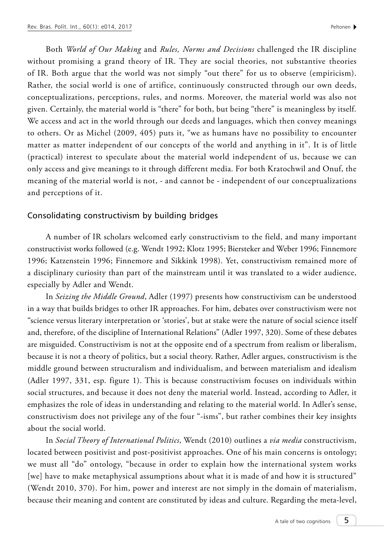Both *World of Our Making* and *Rules, Norms and Decisions* challenged the IR discipline without promising a grand theory of IR. They are social theories, not substantive theories of IR. Both argue that the world was not simply "out there" for us to observe (empiricism). Rather, the social world is one of artifice, continuously constructed through our own deeds, conceptualizations, perceptions, rules, and norms. Moreover, the material world was also not given. Certainly, the material world is "there" for both, but being "there" is meaningless by itself. We access and act in the world through our deeds and languages, which then convey meanings to others. Or as Michel (2009, 405) puts it, "we as humans have no possibility to encounter matter as matter independent of our concepts of the world and anything in it". It is of little (practical) interest to speculate about the material world independent of us, because we can only access and give meanings to it through different media. For both Kratochwil and Onuf, the meaning of the material world is not, - and cannot be - independent of our conceptualizations and perceptions of it.

#### Consolidating constructivism by building bridges

A number of IR scholars welcomed early constructivism to the field, and many important constructivist works followed (e.g. Wendt 1992; Klotz 1995; Biersteker and Weber 1996; Finnemore 1996; Katzenstein 1996; Finnemore and Sikkink 1998). Yet, constructivism remained more of a disciplinary curiosity than part of the mainstream until it was translated to a wider audience, especially by Adler and Wendt.

In *Seizing the Middle Ground*, Adler (1997) presents how constructivism can be understood in a way that builds bridges to other IR approaches. For him, debates over constructivism were not "science versus literary interpretation or 'stories', but at stake were the nature of social science itself and, therefore, of the discipline of International Relations" (Adler 1997, 320). Some of these debates are misguided. Constructivism is not at the opposite end of a spectrum from realism or liberalism, because it is not a theory of politics, but a social theory. Rather, Adler argues, constructivism is the middle ground between structuralism and individualism, and between materialism and idealism (Adler 1997, 331, esp. figure 1). This is because constructivism focuses on individuals within social structures, and because it does not deny the material world. Instead, according to Adler, it emphasizes the role of ideas in understanding and relating to the material world. In Adler's sense, constructivism does not privilege any of the four "-isms", but rather combines their key insights about the social world.

In *Social Theory of International Politics*, Wendt (2010) outlines a *via media* constructivism, located between positivist and post-positivist approaches. One of his main concerns is ontology; we must all "do" ontology, "because in order to explain how the international system works [we] have to make metaphysical assumptions about what it is made of and how it is structured" (Wendt 2010, 370). For him, power and interest are not simply in the domain of materialism, because their meaning and content are constituted by ideas and culture. Regarding the meta-level,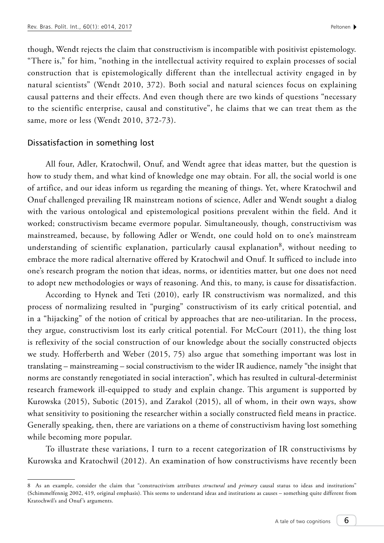though, Wendt rejects the claim that constructivism is incompatible with positivist epistemology. "There is," for him, "nothing in the intellectual activity required to explain processes of social construction that is epistemologically different than the intellectual activity engaged in by natural scientists" (Wendt 2010, 372). Both social and natural sciences focus on explaining causal patterns and their effects. And even though there are two kinds of questions "necessary to the scientific enterprise, causal and constitutive", he claims that we can treat them as the same, more or less (Wendt 2010, 372-73).

#### Dissatisfaction in something lost

All four, Adler, Kratochwil, Onuf, and Wendt agree that ideas matter, but the question is how to study them, and what kind of knowledge one may obtain. For all, the social world is one of artifice, and our ideas inform us regarding the meaning of things. Yet, where Kratochwil and Onuf challenged prevailing IR mainstream notions of science, Adler and Wendt sought a dialog with the various ontological and epistemological positions prevalent within the field. And it worked; constructivism became evermore popular. Simultaneously, though, constructivism was mainstreamed, because, by following Adler or Wendt, one could hold on to one's mainstream understanding of scientific explanation, particularly causal explanation<sup>8</sup>, without needing to embrace the more radical alternative offered by Kratochwil and Onuf. It sufficed to include into one's research program the notion that ideas, norms, or identities matter, but one does not need to adopt new methodologies or ways of reasoning. And this, to many, is cause for dissatisfaction.

According to Hynek and Teti (2010), early IR constructivism was normalized, and this process of normalizing resulted in "purging" constructivism of its early critical potential, and in a "hijacking" of the notion of critical by approaches that are neo-utilitarian. In the process, they argue, constructivism lost its early critical potential. For McCourt (2011), the thing lost is reflexivity of the social construction of our knowledge about the socially constructed objects we study. Hofferberth and Weber (2015, 75) also argue that something important was lost in translating – mainstreaming – social constructivism to the wider IR audience, namely "the insight that norms are constantly renegotiated in social interaction", which has resulted in cultural-determinist research framework ill-equipped to study and explain change. This argument is supported by Kurowska (2015), Subotic (2015), and Zarakol (2015), all of whom, in their own ways, show what sensitivity to positioning the researcher within a socially constructed field means in practice. Generally speaking, then, there are variations on a theme of constructivism having lost something while becoming more popular.

To illustrate these variations, I turn to a recent categorization of IR constructivisms by Kurowska and Kratochwil (2012). An examination of how constructivisms have recently been

<sup>8</sup> As an example, consider the claim that "constructivism attributes *structural* and *primary* causal status to ideas and institutions" (Schimmelfennig 2002, 419, original emphasis). This seems to understand ideas and institutions as causes – something quite different from Kratochwil's and Onuf's arguments.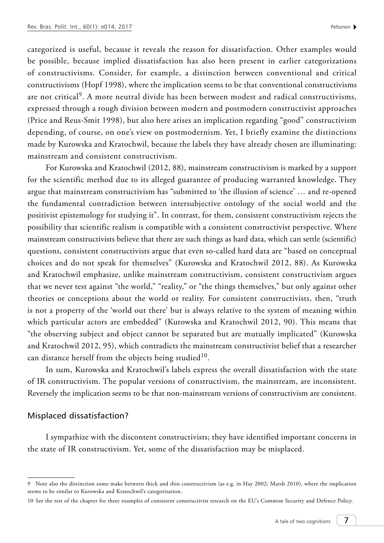categorized is useful, because it reveals the reason for dissatisfaction. Other examples would be possible, because implied dissatisfaction has also been present in earlier categorizations of constructivisms. Consider, for example, a distinction between conventional and critical constructivisms (Hopf 1998), where the implication seems to be that conventional constructivisms are not critical<sup>9</sup>. A more neutral divide has been between modest and radical constructivisms, expressed through a rough division between modern and postmodern constructivist approaches (Price and Reus-Smit 1998), but also here arises an implication regarding "good" constructivism depending, of course, on one's view on postmodernism. Yet, I briefly examine the distinctions made by Kurowska and Kratochwil, because the labels they have already chosen are illuminating: mainstream and consistent constructivism.

For Kurowska and Kratochwil (2012, 88), mainstream constructivism is marked by a support for the scientific method due to its alleged guarantee of producing warranted knowledge. They argue that mainstream constructivism has "submitted to 'the illusion of science' … and re-opened the fundamental contradiction between intersubjective ontology of the social world and the positivist epistemology for studying it". In contrast, for them, consistent constructivism rejects the possibility that scientific realism is compatible with a consistent constructivist perspective. Where mainstream constructivists believe that there are such things as hard data, which can settle (scientific) questions, consistent constructivists argue that even so-called hard data are "based on conceptual choices and do not speak for themselves" (Kurowska and Kratochwil 2012, 88). As Kurowska and Kratochwil emphasize, unlike mainstream constructivism, consistent constructivism argues that we never test against "the world," "reality," or "the things themselves," but only against other theories or conceptions about the world or reality. For consistent constructivists, then, "truth is not a property of the 'world out there' but is always relative to the system of meaning within which particular actors are embedded" (Kurowska and Kratochwil 2012, 90). This means that "the observing subject and object cannot be separated but are mutually implicated" (Kurowska and Kratochwil 2012, 95), which contradicts the mainstream constructivist belief that a researcher can distance herself from the objects being studied<sup>10</sup>.

In sum, Kurowska and Kratochwil's labels express the overall dissatisfaction with the state of IR constructivism. The popular versions of constructivism, the mainstream, are inconsistent. Reversely the implication seems to be that non-mainstream versions of constructivism are consistent.

#### Misplaced dissatisfaction?

I sympathize with the discontent constructivists; they have identified important concerns in the state of IR constructivism. Yet, some of the dissatisfaction may be misplaced.

<sup>9</sup> Note also the distinction some make between thick and thin constructivism (as e.g. in Hay 2002; Marsh 2010), where the implication seems to be similar to Kurowska and Kratochwil's categorization.

<sup>10</sup> See the rest of the chapter for three examples of consistent constructivist research on the EU's Common Security and Defence Policy.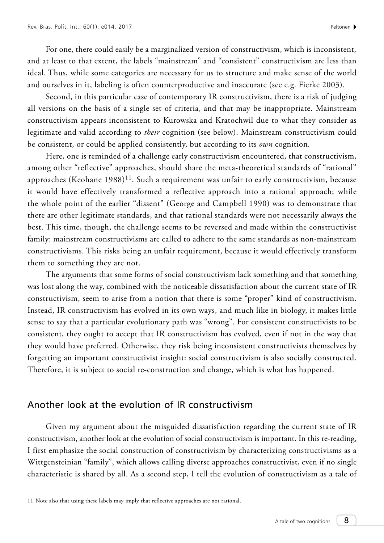For one, there could easily be a marginalized version of constructivism, which is inconsistent, and at least to that extent, the labels "mainstream" and "consistent" constructivism are less than ideal. Thus, while some categories are necessary for us to structure and make sense of the world and ourselves in it, labeling is often counterproductive and inaccurate (see e.g. Fierke 2003).

Second, in this particular case of contemporary IR constructivism, there is a risk of judging all versions on the basis of a single set of criteria, and that may be inappropriate. Mainstream constructivism appears inconsistent to Kurowska and Kratochwil due to what they consider as legitimate and valid according to *their* cognition (see below). Mainstream constructivism could be consistent, or could be applied consistently, but according to its *own* cognition.

Here, one is reminded of a challenge early constructivism encountered, that constructivism, among other "reflective" approaches, should share the meta-theoretical standards of "rational" approaches (Keohane 1988)<sup>11</sup>. Such a requirement was unfair to early constructivism, because it would have effectively transformed a reflective approach into a rational approach; while the whole point of the earlier "dissent" (George and Campbell 1990) was to demonstrate that there are other legitimate standards, and that rational standards were not necessarily always the best. This time, though, the challenge seems to be reversed and made within the constructivist family: mainstream constructivisms are called to adhere to the same standards as non-mainstream constructivisms. This risks being an unfair requirement, because it would effectively transform them to something they are not.

The arguments that some forms of social constructivism lack something and that something was lost along the way, combined with the noticeable dissatisfaction about the current state of IR constructivism, seem to arise from a notion that there is some "proper" kind of constructivism. Instead, IR constructivism has evolved in its own ways, and much like in biology, it makes little sense to say that a particular evolutionary path was "wrong". For consistent constructivists to be consistent, they ought to accept that IR constructivism has evolved, even if not in the way that they would have preferred. Otherwise, they risk being inconsistent constructivists themselves by forgetting an important constructivist insight: social constructivism is also socially constructed. Therefore, it is subject to social re-construction and change, which is what has happened.

## Another look at the evolution of IR constructivism

Given my argument about the misguided dissatisfaction regarding the current state of IR constructivism, another look at the evolution of social constructivism is important. In this re-reading, I first emphasize the social construction of constructivism by characterizing constructivisms as a Wittgensteinian "family", which allows calling diverse approaches constructivist, even if no single characteristic is shared by all. As a second step, I tell the evolution of constructivism as a tale of

<sup>11</sup> Note also that using these labels may imply that reflective approaches are not rational.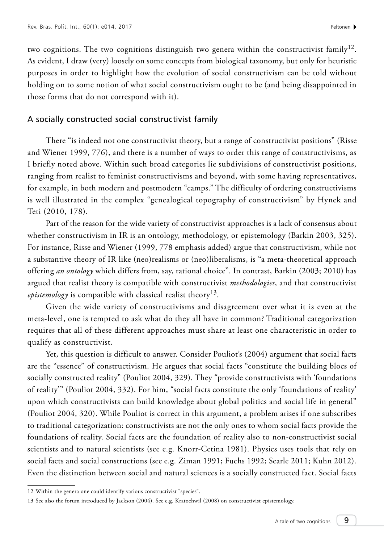two cognitions. The two cognitions distinguish two genera within the constructivist family<sup>12</sup>. As evident, I draw (very) loosely on some concepts from biological taxonomy, but only for heuristic purposes in order to highlight how the evolution of social constructivism can be told without holding on to some notion of what social constructivism ought to be (and being disappointed in those forms that do not correspond with it).

### A socially constructed social constructivist family

There "is indeed not one constructivist theory, but a range of constructivist positions" (Risse and Wiener 1999, 776), and there is a number of ways to order this range of constructivisms, as I briefly noted above. Within such broad categories lie subdivisions of constructivist positions, ranging from realist to feminist constructivisms and beyond, with some having representatives, for example, in both modern and postmodern "camps." The difficulty of ordering constructivisms is well illustrated in the complex "genealogical topography of constructivism" by Hynek and Teti (2010, 178).

Part of the reason for the wide variety of constructivist approaches is a lack of consensus about whether constructivism in IR is an ontology, methodology, or epistemology (Barkin 2003, 325). For instance, Risse and Wiener (1999, 778 emphasis added) argue that constructivism, while not a substantive theory of IR like (neo)realisms or (neo)liberalisms, is "a meta-theoretical approach offering *an ontology* which differs from, say, rational choice". In contrast, Barkin (2003; 2010) has argued that realist theory is compatible with constructivist *methodologies*, and that constructivist *epistemology* is compatible with classical realist theory<sup>13</sup>.

Given the wide variety of constructivisms and disagreement over what it is even at the meta-level, one is tempted to ask what do they all have in common? Traditional categorization requires that all of these different approaches must share at least one characteristic in order to qualify as constructivist.

Yet, this question is difficult to answer. Consider Pouliot's (2004) argument that social facts are the "essence" of constructivism. He argues that social facts "constitute the building blocs of socially constructed reality" (Pouliot 2004, 329). They "provide constructivists with 'foundations of reality'" (Pouliot 2004, 332). For him, "social facts constitute the only 'foundations of reality' upon which constructivists can build knowledge about global politics and social life in general" (Pouliot 2004, 320). While Pouliot is correct in this argument, a problem arises if one subscribes to traditional categorization: constructivists are not the only ones to whom social facts provide the foundations of reality. Social facts are the foundation of reality also to non-constructivist social scientists and to natural scientists (see e.g. Knorr-Cetina 1981). Physics uses tools that rely on social facts and social constructions (see e.g. Ziman 1991; Fuchs 1992; Searle 2011; Kuhn 2012). Even the distinction between social and natural sciences is a socially constructed fact. Social facts

<sup>12</sup> Within the genera one could identify various constructivist "species".

<sup>13</sup> See also the forum introduced by Jackson (2004). See e.g. Kratochwil (2008) on constructivist epistemology.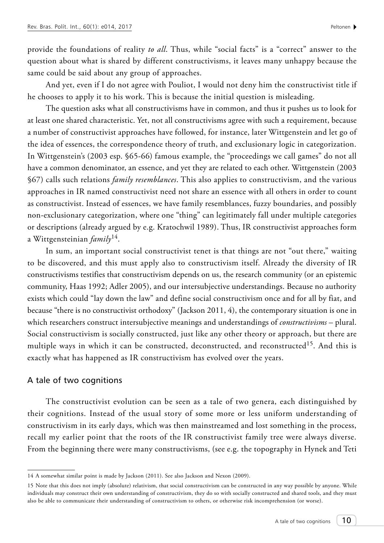provide the foundations of reality *to all*. Thus, while "social facts" is a "correct" answer to the question about what is shared by different constructivisms, it leaves many unhappy because the same could be said about any group of approaches.

And yet, even if I do not agree with Pouliot, I would not deny him the constructivist title if he chooses to apply it to his work. This is because the initial question is misleading.

The question asks what all constructivisms have in common, and thus it pushes us to look for at least one shared characteristic. Yet, not all constructivisms agree with such a requirement, because a number of constructivist approaches have followed, for instance, later Wittgenstein and let go of the idea of essences, the correspondence theory of truth, and exclusionary logic in categorization. In Wittgenstein's (2003 esp. §65-66) famous example, the "proceedings we call games" do not all have a common denominator, an essence, and yet they are related to each other. Wittgenstein (2003 §67) calls such relations *family resemblances*. This also applies to constructivism, and the various approaches in IR named constructivist need not share an essence with all others in order to count as constructivist. Instead of essences, we have family resemblances, fuzzy boundaries, and possibly non-exclusionary categorization, where one "thing" can legitimately fall under multiple categories or descriptions (already argued by e.g. Kratochwil 1989). Thus, IR constructivist approaches form a Wittgensteinian *family*14.

In sum, an important social constructivist tenet is that things are not "out there," waiting to be discovered, and this must apply also to constructivism itself. Already the diversity of IR constructivisms testifies that constructivism depends on us, the research community (or an epistemic community, Haas 1992; Adler 2005), and our intersubjective understandings. Because no authority exists which could "lay down the law" and define social constructivism once and for all by fiat, and because "there is no constructivist orthodoxy" (Jackson 2011, 4), the contemporary situation is one in which researchers construct intersubjective meanings and understandings of *constructivisms* – plural. Social constructivism is socially constructed, just like any other theory or approach, but there are multiple ways in which it can be constructed, deconstructed, and reconstructed<sup>15</sup>. And this is exactly what has happened as IR constructivism has evolved over the years.

#### A tale of two cognitions

The constructivist evolution can be seen as a tale of two genera, each distinguished by their cognitions. Instead of the usual story of some more or less uniform understanding of constructivism in its early days, which was then mainstreamed and lost something in the process, recall my earlier point that the roots of the IR constructivist family tree were always diverse. From the beginning there were many constructivisms, (see e.g. the topography in Hynek and Teti

<sup>14</sup> A somewhat similar point is made by Jackson (2011). See also Jackson and Nexon (2009).

<sup>15</sup> Note that this does not imply (absolute) relativism, that social constructivism can be constructed in any way possible by anyone. While individuals may construct their own understanding of constructivism, they do so with socially constructed and shared tools, and they must also be able to communicate their understanding of constructivism to others, or otherwise risk incomprehension (or worse).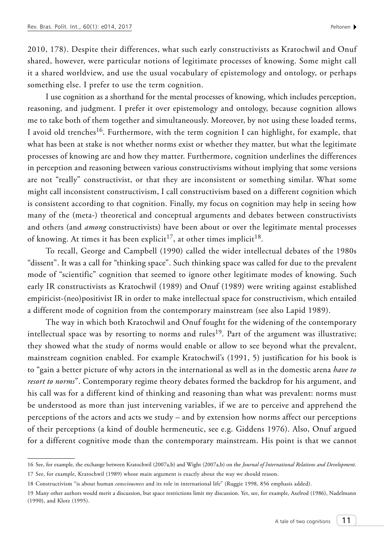2010, 178). Despite their differences, what such early constructivists as Kratochwil and Onuf shared, however, were particular notions of legitimate processes of knowing. Some might call it a shared worldview, and use the usual vocabulary of epistemology and ontology, or perhaps something else. I prefer to use the term cognition.

I use cognition as a shorthand for the mental processes of knowing, which includes perception, reasoning, and judgment. I prefer it over epistemology and ontology, because cognition allows me to take both of them together and simultaneously. Moreover, by not using these loaded terms, I avoid old trenches<sup>16</sup>. Furthermore, with the term cognition I can highlight, for example, that what has been at stake is not whether norms exist or whether they matter, but what the legitimate processes of knowing are and how they matter. Furthermore, cognition underlines the differences in perception and reasoning between various constructivisms without implying that some versions are not "really" constructivist, or that they are inconsistent or something similar. What some might call inconsistent constructivism, I call constructivism based on a different cognition which is consistent according to that cognition. Finally, my focus on cognition may help in seeing how many of the (meta-) theoretical and conceptual arguments and debates between constructivists and others (and *among* constructivists) have been about or over the legitimate mental processes of knowing. At times it has been explicit<sup>17</sup>, at other times implicit<sup>18</sup>.

To recall, George and Campbell (1990) called the wider intellectual debates of the 1980s "dissent". It was a call for "thinking space". Such thinking space was called for due to the prevalent mode of "scientific" cognition that seemed to ignore other legitimate modes of knowing. Such early IR constructivists as Kratochwil (1989) and Onuf (1989) were writing against established empiricist-(neo)positivist IR in order to make intellectual space for constructivism, which entailed a different mode of cognition from the contemporary mainstream (see also Lapid 1989).

The way in which both Kratochwil and Onuf fought for the widening of the contemporary intellectual space was by resorting to norms and rules<sup>19</sup>. Part of the argument was illustrative; they showed what the study of norms would enable or allow to see beyond what the prevalent, mainstream cognition enabled. For example Kratochwil's (1991, 5) justification for his book is to "gain a better picture of why actors in the international as well as in the domestic arena *have to resort to norms*". Contemporary regime theory debates formed the backdrop for his argument, and his call was for a different kind of thinking and reasoning than what was prevalent: norms must be understood as more than just intervening variables, if we are to perceive and apprehend the perceptions of the actors and acts we study – and by extension how norms affect our perceptions of their perceptions (a kind of double hermeneutic, see e.g. Giddens 1976). Also, Onuf argued for a different cognitive mode than the contemporary mainstream. His point is that we cannot

<sup>16</sup> See, for example, the exchange between Kratochwil (2007a,b) and Wight (2007a,b) on the *Journal of International Relations and Development*.

<sup>17</sup> See, for example, Kratochwil (1989) whose main argument is exactly about the way we should reason.

<sup>18</sup> Constructivism "is about human *consciousness* and its role in international life" (Ruggie 1998, 856 emphasis added).

<sup>19</sup> Many other authors would merit a discussion, but space restrictions limit my discussion. Yet, see, for example, Axelrod (1986), Nadelmann (1990), and Klotz (1995).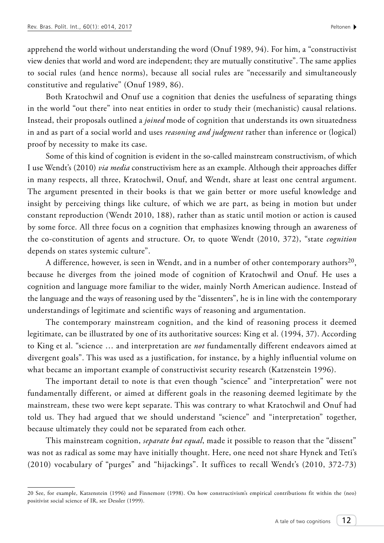apprehend the world without understanding the word (Onuf 1989, 94). For him, a "constructivist view denies that world and word are independent; they are mutually constitutive". The same applies to social rules (and hence norms), because all social rules are "necessarily and simultaneously constitutive and regulative" (Onuf 1989, 86).

Both Kratochwil and Onuf use a cognition that denies the usefulness of separating things in the world "out there" into neat entities in order to study their (mechanistic) causal relations. Instead, their proposals outlined a *joined* mode of cognition that understands its own situatedness in and as part of a social world and uses *reasoning and judgment* rather than inference or (logical) proof by necessity to make its case.

Some of this kind of cognition is evident in the so-called mainstream constructivism, of which I use Wendt's (2010) *via media* constructivism here as an example. Although their approaches differ in many respects, all three, Kratochwil, Onuf, and Wendt, share at least one central argument. The argument presented in their books is that we gain better or more useful knowledge and insight by perceiving things like culture, of which we are part, as being in motion but under constant reproduction (Wendt 2010, 188), rather than as static until motion or action is caused by some force. All three focus on a cognition that emphasizes knowing through an awareness of the co-constitution of agents and structure. Or, to quote Wendt (2010, 372), "state *cognition* depends on states systemic culture".

A difference, however, is seen in Wendt, and in a number of other contemporary authors<sup>20</sup>, because he diverges from the joined mode of cognition of Kratochwil and Onuf. He uses a cognition and language more familiar to the wider, mainly North American audience. Instead of the language and the ways of reasoning used by the "dissenters", he is in line with the contemporary understandings of legitimate and scientific ways of reasoning and argumentation.

The contemporary mainstream cognition, and the kind of reasoning process it deemed legitimate, can be illustrated by one of its authoritative sources: King et al. (1994, 37). According to King et al. "science … and interpretation are *not* fundamentally different endeavors aimed at divergent goals". This was used as a justification, for instance, by a highly influential volume on what became an important example of constructivist security research (Katzenstein 1996).

The important detail to note is that even though "science" and "interpretation" were not fundamentally different, or aimed at different goals in the reasoning deemed legitimate by the mainstream, these two were kept separate. This was contrary to what Kratochwil and Onuf had told us. They had argued that we should understand "science" and "interpretation" together, because ultimately they could not be separated from each other.

This mainstream cognition, *separate but equal*, made it possible to reason that the "dissent" was not as radical as some may have initially thought. Here, one need not share Hynek and Teti's (2010) vocabulary of "purges" and "hijackings". It suffices to recall Wendt's (2010, 372-73)

<sup>20</sup> See, for example, Katzenstein (1996) and Finnemore (1998). On how constructivism's empirical contributions fit within the (neo) positivist social science of IR, see Dessler (1999).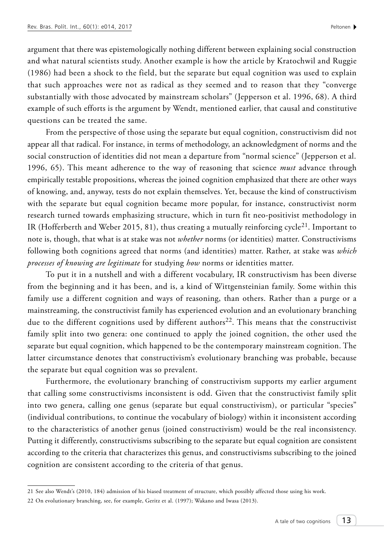argument that there was epistemologically nothing different between explaining social construction and what natural scientists study. Another example is how the article by Kratochwil and Ruggie (1986) had been a shock to the field, but the separate but equal cognition was used to explain that such approaches were not as radical as they seemed and to reason that they "converge substantially with those advocated by mainstream scholars" (Jepperson et al. 1996, 68). A third example of such efforts is the argument by Wendt, mentioned earlier, that causal and constitutive questions can be treated the same.

From the perspective of those using the separate but equal cognition, constructivism did not appear all that radical. For instance, in terms of methodology, an acknowledgment of norms and the social construction of identities did not mean a departure from "normal science" (Jepperson et al. 1996, 65). This meant adherence to the way of reasoning that science *must* advance through empirically testable propositions, whereas the joined cognition emphasized that there are other ways of knowing, and, anyway, tests do not explain themselves. Yet, because the kind of constructivism with the separate but equal cognition became more popular, for instance, constructivist norm research turned towards emphasizing structure, which in turn fit neo-positivist methodology in IR (Hofferberth and Weber 2015, 81), thus creating a mutually reinforcing cycle<sup>21</sup>. Important to note is, though, that what is at stake was not *whether* norms (or identities) matter. Constructivisms following both cognitions agreed that norms (and identities) matter. Rather, at stake was *which processes of knowing are legitimate* for studying *how* norms or identities matter.

To put it in a nutshell and with a different vocabulary, IR constructivism has been diverse from the beginning and it has been, and is, a kind of Wittgensteinian family. Some within this family use a different cognition and ways of reasoning, than others. Rather than a purge or a mainstreaming, the constructivist family has experienced evolution and an evolutionary branching due to the different cognitions used by different authors<sup>22</sup>. This means that the constructivist family split into two genera: one continued to apply the joined cognition, the other used the separate but equal cognition, which happened to be the contemporary mainstream cognition. The latter circumstance denotes that constructivism's evolutionary branching was probable, because the separate but equal cognition was so prevalent.

Furthermore, the evolutionary branching of constructivism supports my earlier argument that calling some constructivisms inconsistent is odd. Given that the constructivist family split into two genera, calling one genus (separate but equal constructivism), or particular "species" (individual contributions, to continue the vocabulary of biology) within it inconsistent according to the characteristics of another genus (joined constructivism) would be the real inconsistency. Putting it differently, constructivisms subscribing to the separate but equal cognition are consistent according to the criteria that characterizes this genus, and constructivisms subscribing to the joined cognition are consistent according to the criteria of that genus.

<sup>21</sup> See also Wendt's (2010, 184) admission of his biased treatment of structure, which possibly affected those using his work.

<sup>22</sup> On evolutionary branching, see, for example, Geritz et al. (1997); Wakano and Iwasa (2013).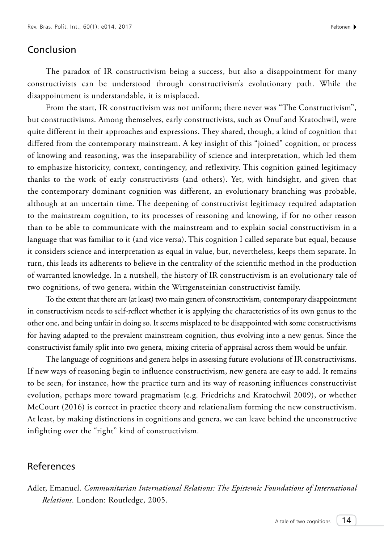## Conclusion

The paradox of IR constructivism being a success, but also a disappointment for many constructivists can be understood through constructivism's evolutionary path. While the disappointment is understandable, it is misplaced.

From the start, IR constructivism was not uniform; there never was "The Constructivism", but constructivisms. Among themselves, early constructivists, such as Onuf and Kratochwil, were quite different in their approaches and expressions. They shared, though, a kind of cognition that differed from the contemporary mainstream. A key insight of this "joined" cognition, or process of knowing and reasoning, was the inseparability of science and interpretation, which led them to emphasize historicity, context, contingency, and reflexivity. This cognition gained legitimacy thanks to the work of early constructivists (and others). Yet, with hindsight, and given that the contemporary dominant cognition was different, an evolutionary branching was probable, although at an uncertain time. The deepening of constructivist legitimacy required adaptation to the mainstream cognition, to its processes of reasoning and knowing, if for no other reason than to be able to communicate with the mainstream and to explain social constructivism in a language that was familiar to it (and vice versa). This cognition I called separate but equal, because it considers science and interpretation as equal in value, but, nevertheless, keeps them separate. In turn, this leads its adherents to believe in the centrality of the scientific method in the production of warranted knowledge. In a nutshell, the history of IR constructivism is an evolutionary tale of two cognitions, of two genera, within the Wittgensteinian constructivist family.

To the extent that there are (at least) two main genera of constructivism, contemporary disappointment in constructivism needs to self-reflect whether it is applying the characteristics of its own genus to the other one, and being unfair in doing so. It seems misplaced to be disappointed with some constructivisms for having adapted to the prevalent mainstream cognition, thus evolving into a new genus. Since the constructivist family split into two genera, mixing criteria of appraisal across them would be unfair.

The language of cognitions and genera helps in assessing future evolutions of IR constructivisms. If new ways of reasoning begin to influence constructivism, new genera are easy to add. It remains to be seen, for instance, how the practice turn and its way of reasoning influences constructivist evolution, perhaps more toward pragmatism (e.g. Friedrichs and Kratochwil 2009), or whether McCourt (2016) is correct in practice theory and relationalism forming the new constructivism. At least, by making distinctions in cognitions and genera, we can leave behind the unconstructive infighting over the "right" kind of constructivism.

## References

Adler, Emanuel. *Communitarian International Relations: The Epistemic Foundations of International Relations*. London: Routledge, 2005.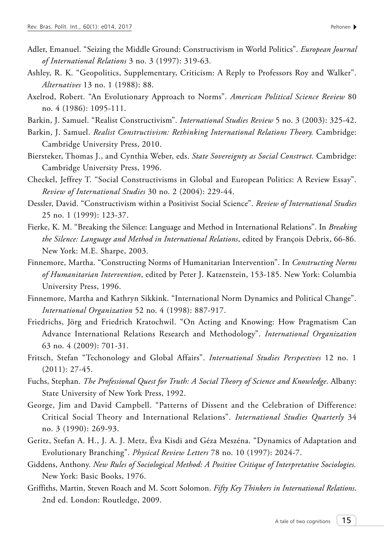- Adler, Emanuel. "Seizing the Middle Ground: Constructivism in World Politics". *European Journal of International Relations* 3 no. 3 (1997): 319-63.
- Ashley, R. K. "Geopolitics, Supplementary, Criticism: A Reply to Professors Roy and Walker". *Alternatives* 13 no. 1 (1988): 88.
- Axelrod, Robert. "An Evolutionary Approach to Norms". *American Political Science Review* 80 no. 4 (1986): 1095-111.
- Barkin, J. Samuel. "Realist Constructivism". *International Studies Review* 5 no. 3 (2003): 325-42.
- Barkin, J. Samuel. *Realist Constructivism: Rethinking International Relations Theory.* Cambridge: Cambridge University Press, 2010.
- Biersteker, Thomas J., and Cynthia Weber, eds. *State Sovereignty as Social Construct.* Cambridge: Cambridge University Press, 1996.
- Checkel, Jeffrey T. "Social Constructivisms in Global and European Politics: A Review Essay". *Review of International Studies* 30 no. 2 (2004): 229-44.
- Dessler, David. "Constructivism within a Positivist Social Science". *Review of International Studies* 25 no. 1 (1999): 123-37.
- Fierke, K. M. "Breaking the Silence: Language and Method in International Relations". In *Breaking the Silence: Language and Method in International Relations*, edited by François Debrix, 66-86. New York: M.E. Sharpe, 2003.
- Finnemore, Martha. "Constructing Norms of Humanitarian Intervention". In *Constructing Norms of Humanitarian Intervention*, edited by Peter J. Katzenstein, 153-185. New York: Columbia University Press, 1996.
- Finnemore, Martha and Kathryn Sikkink. "International Norm Dynamics and Political Change". *International Organization* 52 no. 4 (1998): 887-917.
- Friedrichs, Jörg and Friedrich Kratochwil. "On Acting and Knowing: How Pragmatism Can Advance International Relations Research and Methodology". *International Organization* 63 no. 4 (2009): 701-31.
- Fritsch, Stefan "Techonology and Global Affairs". *International Studies Perspectives* 12 no. 1 (2011): 27-45.
- Fuchs, Stephan. *The Professional Quest for Truth: A Social Theory of Science and Knowledge*. Albany: State University of New York Press, 1992.
- George, Jim and David Campbell. "Patterns of Dissent and the Celebration of Difference: Critical Social Theory and International Relations". *International Studies Quarterly* 34 no. 3 (1990): 269-93.
- Geritz, Stefan A. H., J. A. J. Metz, Éva Kisdi and Géza Meszéna. "Dynamics of Adaptation and Evolutionary Branching". *Physical Review Letters* 78 no. 10 (1997): 2024-7.
- Giddens, Anthony. *New Rules of Sociological Method: A Positive Critique of Interpretative Sociologies.*  New York: Basic Books, 1976.
- Griffiths, Martin, Steven Roach and M. Scott Solomon. *Fifty Key Thinkers in International Relations*. 2nd ed. London: Routledge, 2009.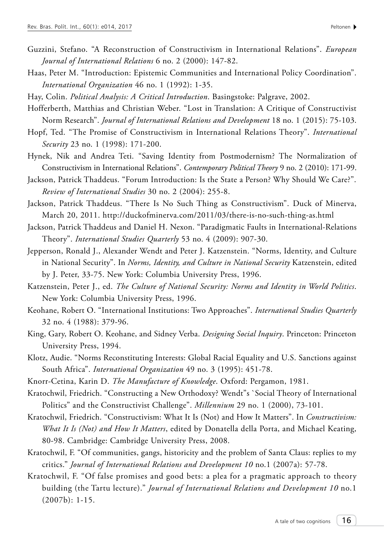- Guzzini, Stefano. "A Reconstruction of Constructivism in International Relations". *European Journal of International Relations* 6 no. 2 (2000): 147-82.
- Haas, Peter M. "Introduction: Epistemic Communities and International Policy Coordination". *International Organization* 46 no. 1 (1992): 1-35.
- Hay, Colin. *Political Analysis: A Critical Introduction*. Basingstoke: Palgrave, 2002.
- Hofferberth, Matthias and Christian Weber. "Lost in Translation: A Critique of Constructivist Norm Research". *Journal of International Relations and Development* 18 no. 1 (2015): 75-103.
- Hopf, Ted. "The Promise of Constructivism in International Relations Theory". *International Security* 23 no. 1 (1998): 171-200.
- Hynek, Nik and Andrea Teti. "Saving Identity from Postmodernism? The Normalization of Constructivism in International Relations". *Contemporary Political Theory* 9 no. 2 (2010): 171-99.
- Jackson, Patrick Thaddeus. "Forum Introduction: Is the State a Person? Why Should We Care?". *Review of International Studies* 30 no. 2 (2004): 255-8.
- Jackson, Patrick Thaddeus. "There Is No Such Thing as Constructivism". Duck of Minerva, March 20, 2011. http://duckofminerva.com/2011/03/there-is-no-such-thing-as.html
- Jackson, Patrick Thaddeus and Daniel H. Nexon. "Paradigmatic Faults in International-Relations Theory". *International Studies Quarterly* 53 no. 4 (2009): 907-30.
- Jepperson, Ronald J., Alexander Wendt and Peter J. Katzenstein. "Norms, Identity, and Culture in National Security". In *Norms, Identity, and Culture in National Security* Katzenstein, edited by J. Peter, 33-75. New York: Columbia University Press, 1996.
- Katzenstein, Peter J., ed. *The Culture of National Security: Norms and Identity in World Politics*. New York: Columbia University Press, 1996.
- Keohane, Robert O. "International Institutions: Two Approaches". *International Studies Quarterly* 32 no. 4 (1988): 379-96.
- King, Gary, Robert O. Keohane, and Sidney Verba. *Designing Social Inquiry*. Princeton: Princeton University Press, 1994.
- Klotz, Audie. "Norms Reconstituting Interests: Global Racial Equality and U.S. Sanctions against South Africa". *International Organization* 49 no. 3 (1995): 451-78.
- Knorr-Cetina, Karin D. *The Manufacture of Knowledge*. Oxford: Pergamon, 1981.
- Kratochwil, Friedrich. "Constructing a New Orthodoxy? Wendt"s `Social Theory of International Politics" and the Constructivist Challenge". *Millennium* 29 no. 1 (2000), 73-101.
- Kratochwil, Friedrich. "Constructivism: What It Is (Not) and How It Matters". In *Constructivism: What It Is (Not) and How It Matters*, edited by Donatella della Porta, and Michael Keating, 80-98. Cambridge: Cambridge University Press, 2008.
- Kratochwil, F. "Of communities, gangs, historicity and the problem of Santa Claus: replies to my critics." *Journal of International Relations and Development 10* no.1 (2007a): 57-78.
- Kratochwil, F. "Of false promises and good bets: a plea for a pragmatic approach to theory building (the Tartu lecture)." *Journal of International Relations and Development 10* no.1 (2007b): 1-15.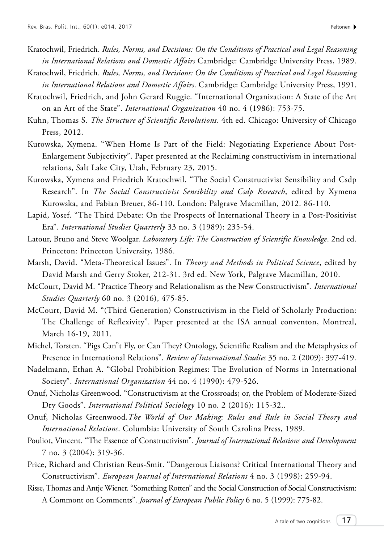- Kratochwil, Friedrich. *Rules, Norms, and Decisions: On the Conditions of Practical and Legal Reasoning in International Relations and Domestic Affairs* Cambridge: Cambridge University Press, 1989.
- Kratochwil, Friedrich. *Rules, Norms, and Decisions: On the Conditions of Practical and Legal Reasoning in International Relations and Domestic Affairs*. Cambridge: Cambridge University Press, 1991.
- Kratochwil, Friedrich, and John Gerard Ruggie. "International Organization: A State of the Art on an Art of the State". *International Organization* 40 no. 4 (1986): 753-75.
- Kuhn, Thomas S. *The Structure of Scientific Revolutions*. 4th ed. Chicago: University of Chicago Press, 2012.
- Kurowska, Xymena. "When Home Is Part of the Field: Negotiating Experience About Post-Enlargement Subjectivity". Paper presented at the Reclaiming constructivism in international relations, Salt Lake City, Utah, February 23, 2015.
- Kurowska, Xymena and Friedrich Kratochwil. "The Social Constructivist Sensibility and Csdp Research". In *The Social Constructivist Sensibility and Csdp Research*, edited by Xymena Kurowska, and Fabian Breuer, 86-110. London: Palgrave Macmillan, 2012. 86-110.
- Lapid, Yosef. "The Third Debate: On the Prospects of International Theory in a Post-Positivist Era". *International Studies Quarterly* 33 no. 3 (1989): 235-54.
- Latour, Bruno and Steve Woolgar. *Laboratory Life: The Construction of Scientific Knowledge*. 2nd ed. Princeton: Princeton University, 1986.
- Marsh, David. "Meta-Theoretical Issues". In *Theory and Methods in Political Science*, edited by David Marsh and Gerry Stoker, 212-31. 3rd ed. New York, Palgrave Macmillan, 2010.
- McCourt, David M. "Practice Theory and Relationalism as the New Constructivism". *International Studies Quarterly* 60 no. 3 (2016), 475-85.
- McCourt, David M. "(Third Generation) Constructivism in the Field of Scholarly Production: The Challenge of Reflexivity". Paper presented at the ISA annual conventon, Montreal, March 16-19, 2011.
- Michel, Torsten. "Pigs Can"t Fly, or Can They? Ontology, Scientific Realism and the Metaphysics of Presence in International Relations". *Review of International Studies* 35 no. 2 (2009): 397-419.
- Nadelmann, Ethan A. "Global Prohibition Regimes: The Evolution of Norms in International Society". *International Organization* 44 no. 4 (1990): 479-526.
- Onuf, Nicholas Greenwood. "Constructivism at the Crossroads; or, the Problem of Moderate-Sized Dry Goods". *International Political Sociology* 10 no. 2 (2016): 115-32..
- Onuf, Nicholas Greenwood.*The World of Our Making: Rules and Rule in Social Theory and International Relations*. Columbia: University of South Carolina Press, 1989.
- Pouliot, Vincent. "The Essence of Constructivism". *Journal of International Relations and Development* 7 no. 3 (2004): 319-36.
- Price, Richard and Christian Reus-Smit. "Dangerous Liaisons? Critical International Theory and Constructivism". *European Journal of International Relations* 4 no. 3 (1998): 259-94.
- Risse, Thomas and Antje Wiener. "Something Rotten" and the Social Construction of Social Constructivism: A Commont on Comments". *Journal of European Public Policy* 6 no. 5 (1999): 775-82.